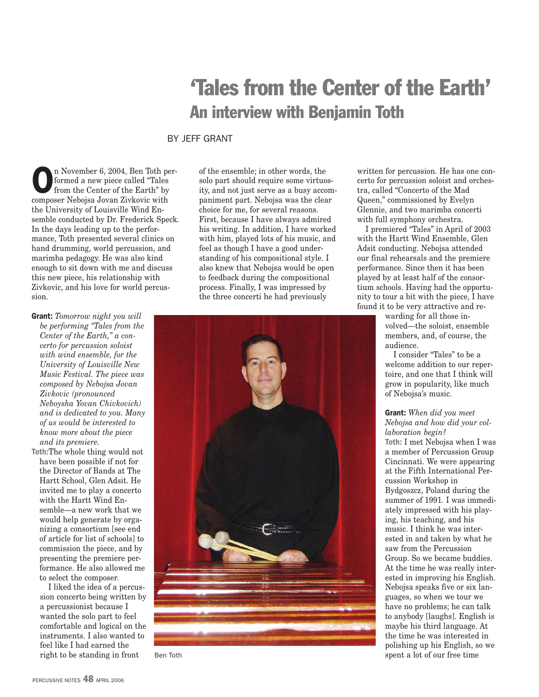## 'Tales from the Center of the Earth' An interview with Benjamin Toth

## BY JEFF GRANT

n November 6, 2004, Ben Toth performed a new piece called "Tales from the Center of the Earth" by composer Nebojsa Jovan Zivkovic with the University of Louisville Wind Ensemble conducted by Dr. Frederick Speck. In the days leading up to the performance, Toth presented several clinics on hand drumming, world percussion, and marimba pedagogy. He was also kind enough to sit down with me and discuss this new piece, his relationship with Zivkovic, and his love for world percussion.

- Grant: *Tomorrow night you will be performing "Tales from the Center of the Earth," a concerto for percussion soloist with wind ensemble, for the University of Louisville New Music Festival. The piece was composed by Nebojsa Jovan Zivkovic (pronounced Neboysha Yovan Chivkovich) and is dedicated to you. Many of us would be interested to know more about the piece and its premiere.*
- Toth:The whole thing would not have been possible if not for the Director of Bands at The Hartt School, Glen Adsit. He invited me to play a concerto with the Hartt Wind Ensemble—a new work that we would help generate by organizing a consortium [see end of article for list of schools] to commission the piece, and by presenting the premiere performance. He also allowed me to select the composer.

I liked the idea of a percussion concerto being written by a percussionist because I wanted the solo part to feel comfortable and logical on the instruments. I also wanted to feel like I had earned the right to be standing in front

of the ensemble; in other words, the solo part should require some virtuosity, and not just serve as a busy accompaniment part. Nebojsa was the clear choice for me, for several reasons. First, because I have always admired his writing. In addition, I have worked with him, played lots of his music, and feel as though I have a good understanding of his compositional style. I also knew that Nebojsa would be open to feedback during the compositional process. Finally, I was impressed by the three concerti he had previously



written for percussion. He has one concerto for percussion soloist and orchestra, called "Concerto of the Mad Queen," commissioned by Evelyn Glennie, and two marimba concerti with full symphony orchestra.

I premiered "Tales" in April of 2003 with the Hartt Wind Ensemble, Glen Adsit conducting. Nebojsa attended our final rehearsals and the premiere performance. Since then it has been played by at least half of the consortium schools. Having had the opportunity to tour a bit with the piece, I have found it to be very attractive and re-

> warding for all those involved—the soloist, ensemble members, and, of course, the audience.

I consider "Tales" to be a welcome addition to our repertoire, and one that I think will grow in popularity, like much of Nebojsa's music.

## Grant: *When did you meet Nebojsa and how did your collaboration begin?*

Toth: I met Nebojsa when I was a member of Percussion Group Cincinnati. We were appearing at the Fifth International Percussion Workshop in Bydgoszcz, Poland during the summer of 1991. I was immediately impressed with his playing, his teaching, and his music. I think he was interested in and taken by what he saw from the Percussion Group. So we became buddies. At the time he was really interested in improving his English. Nebojsa speaks five or six languages, so when we tour we have no problems; he can talk to anybody [laughs]. English is maybe his third language. At the time he was interested in polishing up his English, so we Ben Toth spent a lot of our free time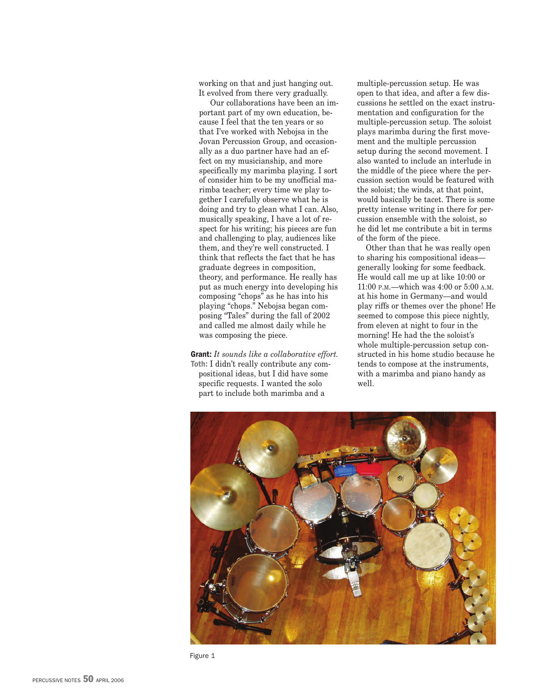working on that and just hanging out. It evolved from there very gradually.

Our collaborations have been an important part of my own education, because I feel that the ten years or so that I've worked with Nebojsa in the Jovan Percussion Group, and occasionally as a duo partner have had an effect on my musicianship, and more specifically my marimba playing. I sort of consider him to be my unofficial marimba teacher; every time we play together I carefully observe what he is doing and try to glean what I can. Also, musically speaking, I have a lot of respect for his writing; his pieces are fun and challenging to play, audiences like them, and they're well constructed. I think that reflects the fact that he has graduate degrees in composition, theory, and performance. He really has put as much energy into developing his composing "chops" as he has into his playing "chops." Nebojsa began composing "Tales" during the fall of 2002 and called me almost daily while he was composing the piece.

Grant: *It sounds like a collaborative effort.* Toth: I didn't really contribute any compositional ideas, but I did have some specific requests. I wanted the solo part to include both marimba and a

multiple-percussion setup. He was open to that idea, and after a few discussions he settled on the exact instrumentation and configuration for the multiple-percussion setup. The soloist plays marimba during the first movement and the multiple percussion setup during the second movement. I also wanted to include an interlude in the middle of the piece where the percussion section would be featured with the soloist; the winds, at that point, would basically be tacet. There is some pretty intense writing in there for percussion ensemble with the soloist, so he did let me contribute a bit in terms of the form of the piece.

Other than that he was really open to sharing his compositional ideas generally looking for some feedback. He would call me up at like 10:00 or 11:00 P.M.—which was 4:00 or 5:00 A.M. at his home in Germany—and would play riffs or themes over the phone! He seemed to compose this piece nightly, from eleven at night to four in the morning! He had the the soloist's whole multiple-percussion setup constructed in his home studio because he tends to compose at the instruments, with a marimba and piano handy as well.



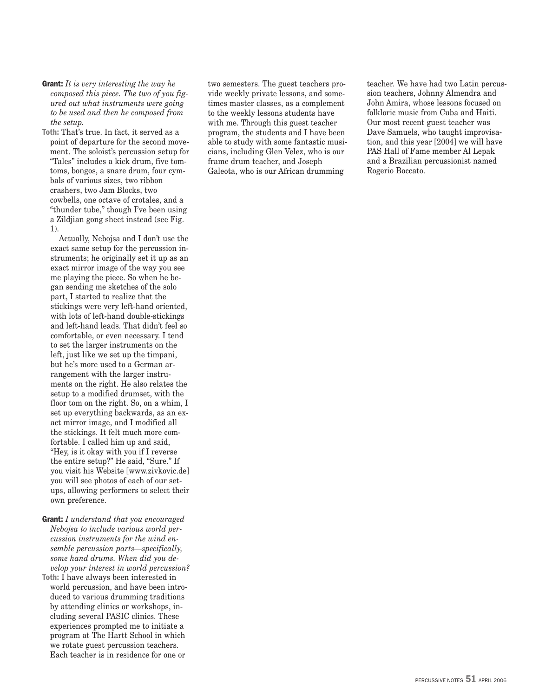Grant: *It is very interesting the way he composed this piece. The two of you figured out what instruments were going to be used and then he composed from the setup.*

Toth: That's true. In fact, it served as a point of departure for the second movement. The soloist's percussion setup for "Tales" includes a kick drum, five tomtoms, bongos, a snare drum, four cymbals of various sizes, two ribbon crashers, two Jam Blocks, two cowbells, one octave of crotales, and a "thunder tube," though I've been using a Zildjian gong sheet instead (see Fig. 1).

Actually, Nebojsa and I don't use the exact same setup for the percussion instruments; he originally set it up as an exact mirror image of the way you see me playing the piece. So when he began sending me sketches of the solo part, I started to realize that the stickings were very left-hand oriented, with lots of left-hand double-stickings and left-hand leads. That didn't feel so comfortable, or even necessary. I tend to set the larger instruments on the left, just like we set up the timpani, but he's more used to a German arrangement with the larger instruments on the right. He also relates the setup to a modified drumset, with the floor tom on the right. So, on a whim, I set up everything backwards, as an exact mirror image, and I modified all the stickings. It felt much more comfortable. I called him up and said, "Hey, is it okay with you if I reverse the entire setup?" He said, "Sure." If you visit his Website [www.zivkovic.de] you will see photos of each of our setups, allowing performers to select their own preference.

- Grant: *I understand that you encouraged Nebojsa to include various world percussion instruments for the wind ensemble percussion parts—specifically, some hand drums. When did you develop your interest in world percussion?*
- Toth: I have always been interested in world percussion, and have been introduced to various drumming traditions by attending clinics or workshops, including several PASIC clinics. These experiences prompted me to initiate a program at The Hartt School in which we rotate guest percussion teachers. Each teacher is in residence for one or

two semesters. The guest teachers provide weekly private lessons, and sometimes master classes, as a complement to the weekly lessons students have with me. Through this guest teacher program, the students and I have been able to study with some fantastic musicians, including Glen Velez, who is our frame drum teacher, and Joseph Galeota, who is our African drumming

teacher. We have had two Latin percussion teachers, Johnny Almendra and John Amira, whose lessons focused on folkloric music from Cuba and Haiti. Our most recent guest teacher was Dave Samuels, who taught improvisation, and this year [2004] we will have PAS Hall of Fame member Al Lepak and a Brazilian percussionist named Rogerio Boccato.